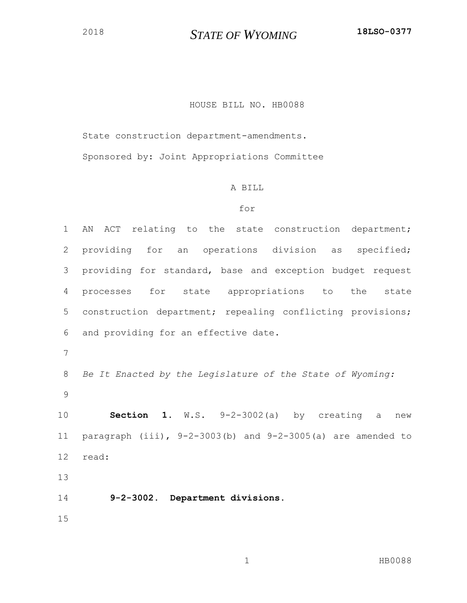## *STATE OF WYOMING* **18LSO-0377**

## HOUSE BILL NO. HB0088

State construction department-amendments.

Sponsored by: Joint Appropriations Committee

## A BILL

## for

 AN ACT relating to the state construction department; providing for an operations division as specified; providing for standard, base and exception budget request processes for state appropriations to the state construction department; repealing conflicting provisions; and providing for an effective date. *Be It Enacted by the Legislature of the State of Wyoming:* **Section 1.** W.S. 9-2-3002(a) by creating a new paragraph (iii), 9-2-3003(b) and 9-2-3005(a) are amended to read: **9-2-3002. Department divisions.**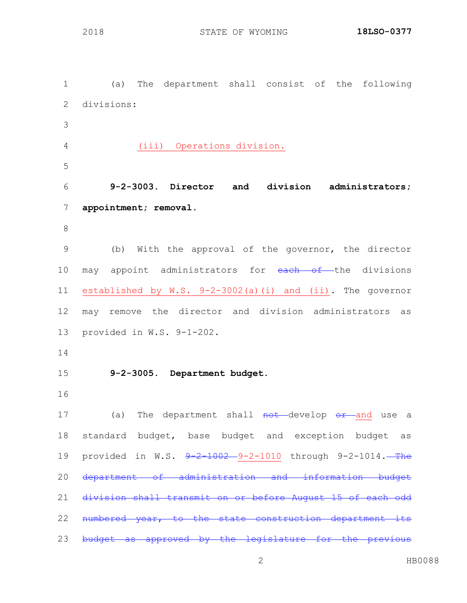(a) The department shall consist of the following divisions: (iii) Operations division. **9-2-3003. Director and division administrators; appointment; removal.** (b) With the approval of the governor, the director 10 may appoint administrators for each of the divisions established by W.S. 9-2-3002(a)(i) and (ii). The governor may remove the director and division administrators as provided in W.S. 9-1-202. **9-2-3005. Department budget.** 17 (a) The department shall not develop or and use a standard budget, base budget and exception budget as 19 provided in W.S.  $9-2-1002-9-2-1010$  through 9-2-1014. The department of administration and information budget division shall transmit on or before August 15 of each odd 22 numbered year, to the state construction department its 23 budget as approved by the legislature for the previous